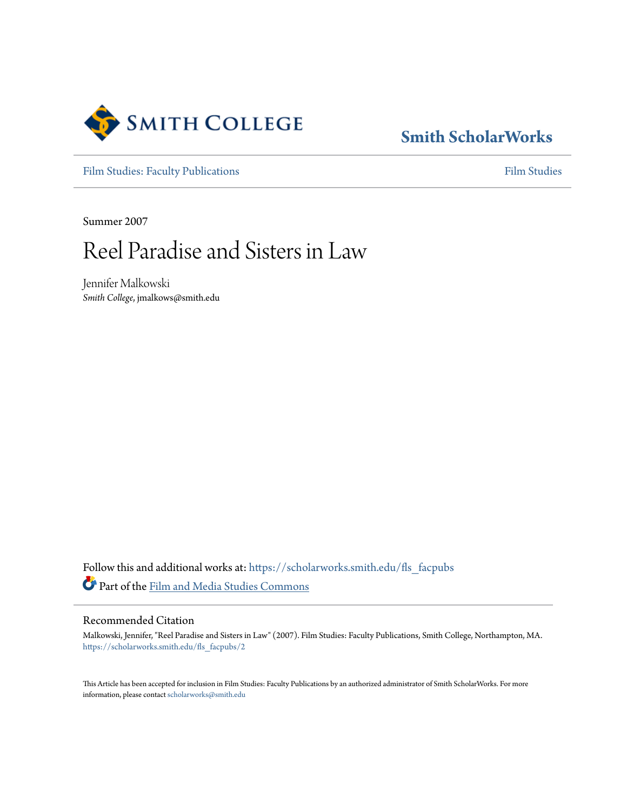

### **[Smith ScholarWorks](https://scholarworks.smith.edu?utm_source=scholarworks.smith.edu%2Ffls_facpubs%2F2&utm_medium=PDF&utm_campaign=PDFCoverPages)**

[Film Studies: Faculty Publications](https://scholarworks.smith.edu/fls_facpubs?utm_source=scholarworks.smith.edu%2Ffls_facpubs%2F2&utm_medium=PDF&utm_campaign=PDFCoverPages) [Film Studies](https://scholarworks.smith.edu/fls?utm_source=scholarworks.smith.edu%2Ffls_facpubs%2F2&utm_medium=PDF&utm_campaign=PDFCoverPages)

Summer 2007

# Reel Paradise and Sisters in Law

Jennifer Malkowski *Smith College*, jmalkows@smith.edu

Follow this and additional works at: [https://scholarworks.smith.edu/fls\\_facpubs](https://scholarworks.smith.edu/fls_facpubs?utm_source=scholarworks.smith.edu%2Ffls_facpubs%2F2&utm_medium=PDF&utm_campaign=PDFCoverPages) Part of the [Film and Media Studies Commons](http://network.bepress.com/hgg/discipline/563?utm_source=scholarworks.smith.edu%2Ffls_facpubs%2F2&utm_medium=PDF&utm_campaign=PDFCoverPages)

### Recommended Citation

Malkowski, Jennifer, "Reel Paradise and Sisters in Law" (2007). Film Studies: Faculty Publications, Smith College, Northampton, MA. [https://scholarworks.smith.edu/fls\\_facpubs/2](https://scholarworks.smith.edu/fls_facpubs/2?utm_source=scholarworks.smith.edu%2Ffls_facpubs%2F2&utm_medium=PDF&utm_campaign=PDFCoverPages)

This Article has been accepted for inclusion in Film Studies: Faculty Publications by an authorized administrator of Smith ScholarWorks. For more information, please contact [scholarworks@smith.edu](mailto:scholarworks@smith.edu)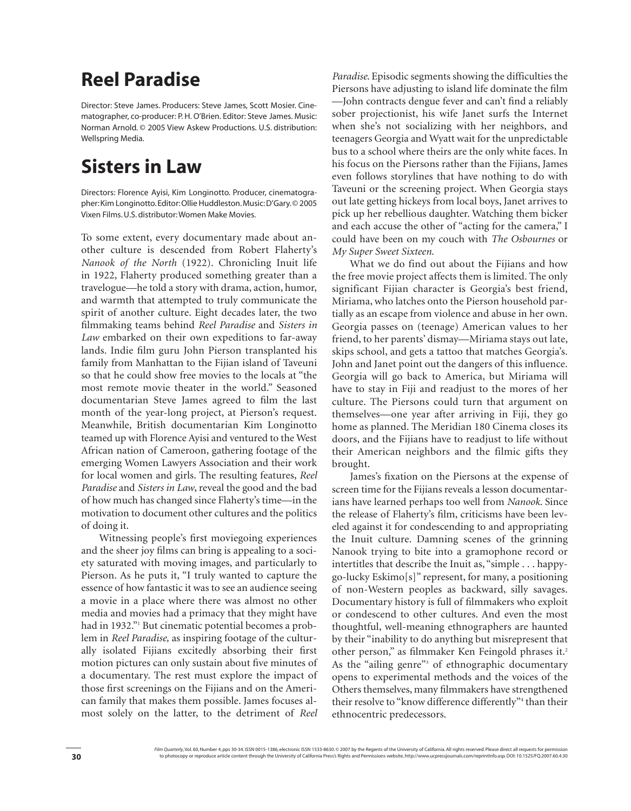## **Reel Paradise**

Director: Steve James. Producers: Steve James, Scott Mosier. Cinematographer, co-producer: P. H. O'Brien. Editor: Steve James. Music: Norman Arnold. © 2005 View Askew Productions. U.S. distribution: Wellspring Media.

## **Sisters in Law**

Directors: Florence Ayisi, Kim Longinotto. Producer, cinematographer: Kim Longinotto.Editor: Ollie Huddleston.Music: D'Gary.© 2005 Vixen Films. U.S. distributor: Women Make Movies.

To some extent, every documentary made about another culture is descended from Robert Flaherty's *Nanook of the North* (1922). Chronicling Inuit life in 1922, Flaherty produced something greater than a travelogue—he told a story with drama, action, humor, and warmth that attempted to truly communicate the spirit of another culture. Eight decades later, the two filmmaking teams behind *Reel Paradise* and *Sisters in Law* embarked on their own expeditions to far-away lands. Indie film guru John Pierson transplanted his family from Manhattan to the Fijian island of Taveuni so that he could show free movies to the locals at "the most remote movie theater in the world." Seasoned documentarian Steve James agreed to film the last month of the year-long project, at Pierson's request. Meanwhile, British documentarian Kim Longinotto teamed up with Florence Ayisi and ventured to the West African nation of Cameroon, gathering footage of the emerging Women Lawyers Association and their work for local women and girls. The resulting features, *Reel Paradise* and *Sisters in Law*, reveal the good and the bad of how much has changed since Flaherty's time—in the motivation to document other cultures and the politics of doing it.

Witnessing people's first moviegoing experiences and the sheer joy films can bring is appealing to a society saturated with moving images, and particularly to Pierson. As he puts it, "I truly wanted to capture the essence of how fantastic it was to see an audience seeing a movie in a place where there was almost no other media and movies had a primacy that they might have had in 1932." But cinematic potential becomes a problem in *Reel Paradise,* as inspiring footage of the culturally isolated Fijians excitedly absorbing their first motion pictures can only sustain about five minutes of a documentary. The rest must explore the impact of those first screenings on the Fijians and on the American family that makes them possible. James focuses almost solely on the latter, to the detriment of *Reel*

*Paradise*. Episodic segments showing the difficulties the Piersons have adjusting to island life dominate the film —John contracts dengue fever and can't find a reliably sober projectionist, his wife Janet surfs the Internet when she's not socializing with her neighbors, and teenagers Georgia and Wyatt wait for the unpredictable bus to a school where theirs are the only white faces. In his focus on the Piersons rather than the Fijians, James even follows storylines that have nothing to do with Taveuni or the screening project. When Georgia stays out late getting hickeys from local boys, Janet arrives to pick up her rebellious daughter. Watching them bicker and each accuse the other of "acting for the camera," I could have been on my couch with *The Osbournes* or *My Super Sweet Sixteen*.

What we do find out about the Fijians and how the free movie project affects them is limited. The only significant Fijian character is Georgia's best friend, Miriama, who latches onto the Pierson household partially as an escape from violence and abuse in her own. Georgia passes on (teenage) American values to her friend, to her parents' dismay—Miriama stays out late, skips school, and gets a tattoo that matches Georgia's. John and Janet point out the dangers of this influence. Georgia will go back to America, but Miriama will have to stay in Fiji and readjust to the mores of her culture. The Piersons could turn that argument on themselves—one year after arriving in Fiji, they go home as planned. The Meridian 180 Cinema closes its doors, and the Fijians have to readjust to life without their American neighbors and the filmic gifts they brought.

James's fixation on the Piersons at the expense of screen time for the Fijians reveals a lesson documentarians have learned perhaps too well from *Nanook*. Since the release of Flaherty's film, criticisms have been leveled against it for condescending to and appropriating the Inuit culture. Damning scenes of the grinning Nanook trying to bite into a gramophone record or intertitles that describe the Inuit as, "simple . . . happygo-lucky Eskimo[s]" represent, for many, a positioning of non-Western peoples as backward, silly savages. Documentary history is full of filmmakers who exploit or condescend to other cultures. And even the most thoughtful, well-meaning ethnographers are haunted by their "inability to do anything but misrepresent that other person," as filmmaker Ken Feingold phrases it.<sup>2</sup> As the "ailing genre"<sup>3</sup> of ethnographic documentary opens to experimental methods and the voices of the Others themselves, many filmmakers have strengthened their resolve to "know difference differently"<sup>4</sup> than their ethnocentric predecessors.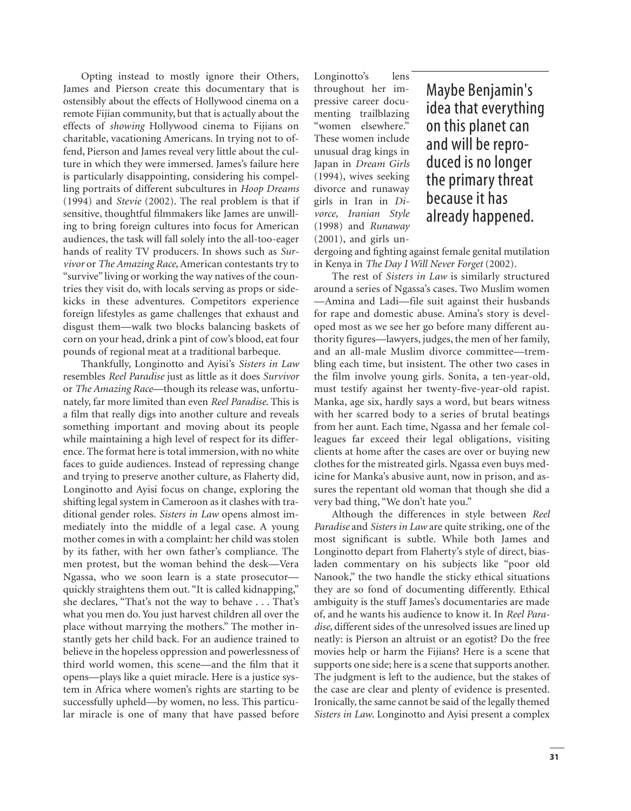Opting instead to mostly ignore their Others, James and Pierson create this documentary that is ostensibly about the effects of Hollywood cinema on a remote Fijian community, but that is actually about the effects of *showing* Hollywood cinema to Fijians on charitable, vacationing Americans. In trying not to offend, Pierson and James reveal very little about the culture in which they were immersed. James's failure here is particularly disappointing, considering his compelling portraits of different subcultures in *Hoop Dreams* (1994) and *Stevie* (2002). The real problem is that if sensitive, thoughtful filmmakers like James are unwilling to bring foreign cultures into focus for American audiences, the task will fall solely into the all-too-eager hands of reality TV producers. In shows such as *Survivor* or *The Amazing Race*, American contestants try to "survive" living or working the way natives of the countries they visit do, with locals serving as props or sidekicks in these adventures. Competitors experience foreign lifestyles as game challenges that exhaust and disgust them—walk two blocks balancing baskets of corn on your head, drink a pint of cow's blood, eat four pounds of regional meat at a traditional barbeque.

Thankfully, Longinotto and Ayisi's *Sisters in Law* resembles *Reel Paradise* just as little as it does *Survivor* or *The Amazing Race*—though its release was, unfortunately, far more limited than even *Reel Paradise*. This is a film that really digs into another culture and reveals something important and moving about its people while maintaining a high level of respect for its difference. The format here is total immersion, with no white faces to guide audiences. Instead of repressing change and trying to preserve another culture, as Flaherty did, Longinotto and Ayisi focus on change, exploring the shifting legal system in Cameroon as it clashes with traditional gender roles. *Sisters in Law* opens almost immediately into the middle of a legal case. A young mother comes in with a complaint: her child was stolen by its father, with her own father's compliance. The men protest, but the woman behind the desk—Vera Ngassa, who we soon learn is a state prosecutor quickly straightens them out. "It is called kidnapping," she declares, "That's not the way to behave . . . That's what you men do. You just harvest children all over the place without marrying the mothers." The mother instantly gets her child back. For an audience trained to believe in the hopeless oppression and powerlessness of third world women, this scene—and the film that it opens—plays like a quiet miracle. Here is a justice system in Africa where women's rights are starting to be successfully upheld—by women, no less. This particular miracle is one of many that have passed before

Longinotto's lens throughout her impressive career documenting trailblazing "women elsewhere." These women include unusual drag kings in Japan in *Dream Girls* (1994), wives seeking divorce and runaway girls in Iran in *Divorce, Iranian Style* (1998) and *Runaway* (2001), and girls un-

### Maybe Benjamin's idea that everything on this planet can and will be reproduced is no longer the primary threat because it has already happened.

dergoing and fighting against female genital mutilation in Kenya in *The Day I Will Never Forget* (2002).

The rest of *Sisters in Law* is similarly structured around a series of Ngassa's cases. Two Muslim women —Amina and Ladi—file suit against their husbands for rape and domestic abuse. Amina's story is developed most as we see her go before many different authority figures—lawyers, judges, the men of her family, and an all-male Muslim divorce committee—trembling each time, but insistent. The other two cases in the film involve young girls. Sonita, a ten-year-old, must testify against her twenty-five-year-old rapist. Manka, age six, hardly says a word, but bears witness with her scarred body to a series of brutal beatings from her aunt. Each time, Ngassa and her female colleagues far exceed their legal obligations, visiting clients at home after the cases are over or buying new clothes for the mistreated girls. Ngassa even buys medicine for Manka's abusive aunt, now in prison, and assures the repentant old woman that though she did a very bad thing, "We don't hate you."

Although the differences in style between *Reel Paradise* and *Sisters in Law* are quite striking, one of the most significant is subtle. While both James and Longinotto depart from Flaherty's style of direct, biasladen commentary on his subjects like "poor old Nanook," the two handle the sticky ethical situations they are so fond of documenting differently. Ethical ambiguity is the stuff James's documentaries are made of, and he wants his audience to know it. In *Reel Paradise*, different sides of the unresolved issues are lined up neatly: is Pierson an altruist or an egotist? Do the free movies help or harm the Fijians? Here is a scene that supports one side; here is a scene that supports another. The judgment is left to the audience, but the stakes of the case are clear and plenty of evidence is presented. Ironically, the same cannot be said of the legally themed *Sisters in Law*. Longinotto and Ayisi present a complex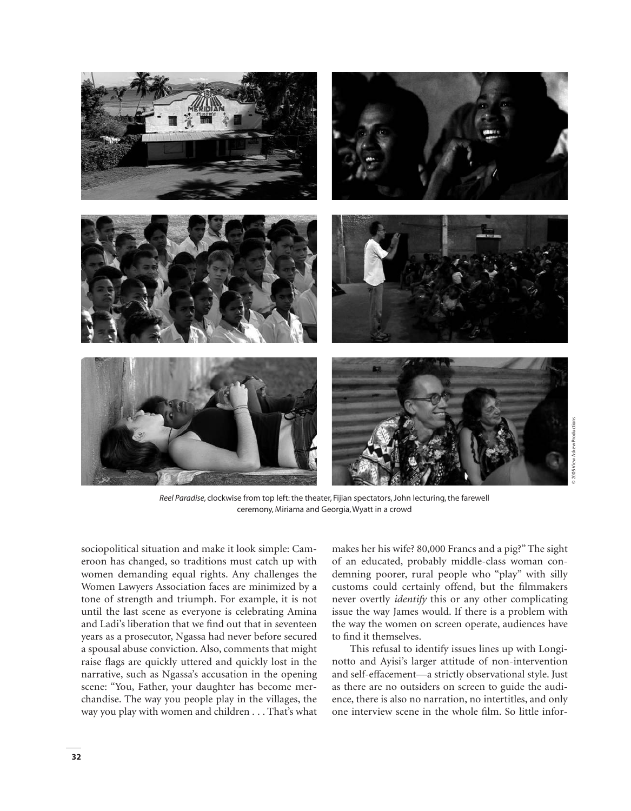

*Reel Paradise*, clockwise from top left: the theater, Fijian spectators, John lecturing, the farewell ceremony, Miriama and Georgia, Wyatt in a crowd

sociopolitical situation and make it look simple: Cameroon has changed, so traditions must catch up with women demanding equal rights. Any challenges the Women Lawyers Association faces are minimized by a tone of strength and triumph. For example, it is not until the last scene as everyone is celebrating Amina and Ladi's liberation that we find out that in seventeen years as a prosecutor, Ngassa had never before secured a spousal abuse conviction. Also, comments that might raise flags are quickly uttered and quickly lost in the narrative, such as Ngassa's accusation in the opening scene: "You, Father, your daughter has become merchandise. The way you people play in the villages, the way you play with women and children . . . That's what

makes her his wife? 80,000 Francs and a pig?" The sight of an educated, probably middle-class woman condemning poorer, rural people who "play" with silly customs could certainly offend, but the filmmakers never overtly *identify* this or any other complicating issue the way James would. If there is a problem with the way the women on screen operate, audiences have to find it themselves.

This refusal to identify issues lines up with Longinotto and Ayisi's larger attitude of non-intervention and self-effacement—a strictly observational style. Just as there are no outsiders on screen to guide the audience, there is also no narration, no intertitles, and only one interview scene in the whole film. So little infor-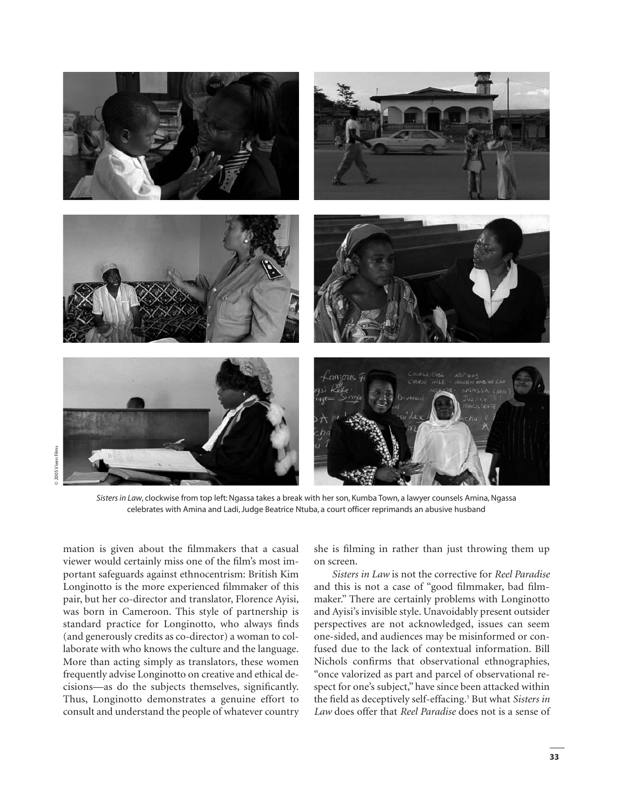

*Sisters in Law*, clockwise from top left: Ngassa takes a break with her son, Kumba Town, a lawyer counsels Amina, Ngassa celebrates with Amina and Ladi, Judge Beatrice Ntuba, a court officer reprimands an abusive husband

mation is given about the filmmakers that a casual viewer would certainly miss one of the film's most important safeguards against ethnocentrism: British Kim Longinotto is the more experienced filmmaker of this pair, but her co-director and translator, Florence Ayisi, was born in Cameroon. This style of partnership is standard practice for Longinotto, who always finds (and generously credits as co-director) a woman to collaborate with who knows the culture and the language. More than acting simply as translators, these women frequently advise Longinotto on creative and ethical decisions—as do the subjects themselves, significantly. Thus, Longinotto demonstrates a genuine effort to consult and understand the people of whatever country

she is filming in rather than just throwing them up on screen.

*Sisters in Law* is not the corrective for *Reel Paradise* and this is not a case of "good filmmaker, bad filmmaker." There are certainly problems with Longinotto and Ayisi's invisible style. Unavoidably present outsider perspectives are not acknowledged, issues can seem one-sided, and audiences may be misinformed or confused due to the lack of contextual information. Bill Nichols confirms that observational ethnographies, "once valorized as part and parcel of observational respect for one's subject," have since been attacked within the field as deceptively self-effacing.5 But what *Sisters in Law* does offer that *Reel Paradise* does not is a sense of